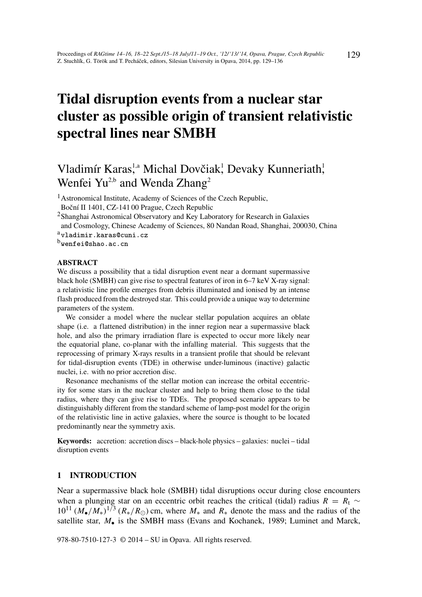# Tidal disruption events from a nuclear star cluster as possible origin of transient relativistic spectral lines near SMBH

# Vladimír Karas<sup>1,a</sup> Michal Dovčiak<sup>1</sup>, Devaky Kunneriath, Wenfei Yu<sup>2,b</sup> and Wenda Zhang<sup>2</sup>

<sup>1</sup>Astronomical Institute, Academy of Sciences of the Czech Republic, Boční II 1401, CZ-141 00 Prague, Czech Republic

<sup>2</sup>Shanghai Astronomical Observatory and Key Laboratory for Research in Galaxies

and Cosmology, Chinese Academy of Sciences, 80 Nandan Road, Shanghai, 200030, China avladimir.karas@cuni.cz

bwenfei@shao.ac.cn

#### ABSTRACT

We discuss a possibility that a tidal disruption event near a dormant supermassive black hole (SMBH) can give rise to spectral features of iron in 6–7 keV X-ray signal: a relativistic line profile emerges from debris illuminated and ionised by an intense flash produced from the destroyed star. This could provide a unique way to determine parameters of the system.

We consider a model where the nuclear stellar population acquires an oblate shape (i.e. a flattened distribution) in the inner region near a supermassive black hole, and also the primary irradiation flare is expected to occur more likely near the equatorial plane, co-planar with the infalling material. This suggests that the reprocessing of primary X-rays results in a transient profile that should be relevant for tidal-disruption events (TDE) in otherwise under-luminous (inactive) galactic nuclei, i.e. with no prior accretion disc.

Resonance mechanisms of the stellar motion can increase the orbital eccentricity for some stars in the nuclear cluster and help to bring them close to the tidal radius, where they can give rise to TDEs. The proposed scenario appears to be distinguishably different from the standard scheme of lamp-post model for the origin of the relativistic line in active galaxies, where the source is thought to be located predominantly near the symmetry axis.

Keywords: accretion: accretion discs – black-hole physics – galaxies: nuclei – tidal disruption events

#### 1 INTRODUCTION

Near a supermassive black hole (SMBH) tidal disruptions occur during close encounters when a plunging star on an eccentric orbit reaches the critical (tidal) radius  $R = R_t \sim$  $10^{11} (M_{\bullet}/M_{*})^{1/3} (R_{*}/R_{\odot})$  cm, where  $M_{*}$  and  $R_{*}$  denote the mass and the radius of the satellite star, M<sub>r</sub> is the SMBH mass (Evans and Kochanek, 1989; Luminet and Marck,

978-80-7510-127-3 © 2014 – SU in Opava. All rights reserved.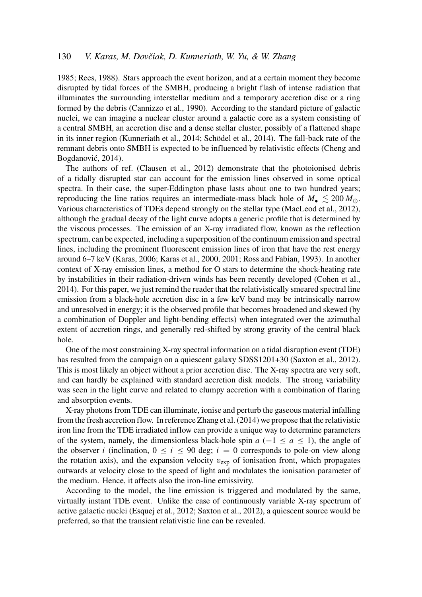# 130 *V. Karas, M. Dovčiak, D. Kunneriath, W. Yu, & W. Zhang*

1985; Rees, 1988). Stars approach the event horizon, and at a certain moment they become disrupted by tidal forces of the SMBH, producing a bright flash of intense radiation that illuminates the surrounding interstellar medium and a temporary accretion disc or a ring formed by the debris (Cannizzo et al., 1990). According to the standard picture of galactic nuclei, we can imagine a nuclear cluster around a galactic core as a system consisting of a central SMBH, an accretion disc and a dense stellar cluster, possibly of a flattened shape in its inner region (Kunneriath et al., 2014; Schödel et al., 2014). The fall-back rate of the remnant debris onto SMBH is expected to be influenced by relativistic effects (Cheng and Bogdanović, 2014).

The authors of ref. (Clausen et al., 2012) demonstrate that the photoionised debris of a tidally disrupted star can account for the emission lines observed in some optical spectra. In their case, the super-Eddington phase lasts about one to two hundred years; reproducing the line ratios requires an intermediate-mass black hole of  $M_{\bullet} \leq 200 M_{\odot}$ . Various characteristics of TDEs depend strongly on the stellar type (MacLeod et al., 2012), although the gradual decay of the light curve adopts a generic profile that is determined by the viscous processes. The emission of an X-ray irradiated flow, known as the reflection spectrum, can be expected, including a superposition of the continuum emission and spectral lines, including the prominent fluorescent emission lines of iron that have the rest energy around 6–7 keV (Karas, 2006; Karas et al., 2000, 2001; Ross and Fabian, 1993). In another context of X-ray emission lines, a method for O stars to determine the shock-heating rate by instabilities in their radiation-driven winds has been recently developed (Cohen et al., 2014). For this paper, we just remind the reader that the relativistically smeared spectral line emission from a black-hole accretion disc in a few keV band may be intrinsically narrow and unresolved in energy; it is the observed profile that becomes broadened and skewed (by a combination of Doppler and light-bending effects) when integrated over the azimuthal extent of accretion rings, and generally red-shifted by strong gravity of the central black hole.

One of the most constraining X-ray spectral information on a tidal disruption event (TDE) has resulted from the campaign on a quiescent galaxy SDSS1201+30 (Saxton et al., 2012). This is most likely an object without a prior accretion disc. The X-ray spectra are very soft, and can hardly be explained with standard accretion disk models. The strong variability was seen in the light curve and related to clumpy accretion with a combination of flaring and absorption events.

X-ray photons from TDE can illuminate, ionise and perturb the gaseous material infalling from the fresh accretion flow. In reference Zhang et al. (2014) we propose that the relativistic iron line from the TDE irradiated inflow can provide a unique way to determine parameters of the system, namely, the dimensionless black-hole spin  $a$  ( $-1 \le a \le 1$ ), the angle of the observer *i* (inclination,  $0 \le i \le 90$  deg;  $i = 0$  corresponds to pole-on view along the rotation axis), and the expansion velocity  $v_{\text{exp}}$  of ionisation front, which propagates outwards at velocity close to the speed of light and modulates the ionisation parameter of the medium. Hence, it affects also the iron-line emissivity.

According to the model, the line emission is triggered and modulated by the same, virtually instant TDE event. Unlike the case of continuously variable X-ray spectrum of active galactic nuclei (Esquej et al., 2012; Saxton et al., 2012), a quiescent source would be preferred, so that the transient relativistic line can be revealed.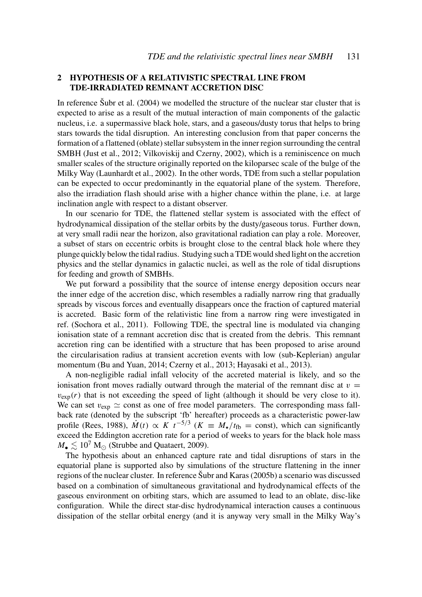### 2 HYPOTHESIS OF A RELATIVISTIC SPECTRAL LINE FROM TDE-IRRADIATED REMNANT ACCRETION DISC

In reference Šubr et al. (2004) we modelled the structure of the nuclear star cluster that is expected to arise as a result of the mutual interaction of main components of the galactic nucleus, i.e. a supermassive black hole, stars, and a gaseous/dusty torus that helps to bring stars towards the tidal disruption. An interesting conclusion from that paper concerns the formation of a flattened (oblate) stellar subsystem in the inner region surrounding the central SMBH (Just et al., 2012; Vilkoviskij and Czerny, 2002), which is a reminiscence on much smaller scales of the structure originally reported on the kiloparsec scale of the bulge of the Milky Way (Launhardt et al., 2002). In the other words, TDE from such a stellar population can be expected to occur predominantly in the equatorial plane of the system. Therefore, also the irradiation flash should arise with a higher chance within the plane, i.e. at large inclination angle with respect to a distant observer.

In our scenario for TDE, the flattened stellar system is associated with the effect of hydrodynamical dissipation of the stellar orbits by the dusty/gaseous torus. Further down, at very small radii near the horizon, also gravitational radiation can play a role. Moreover, a subset of stars on eccentric orbits is brought close to the central black hole where they plunge quickly below the tidal radius. Studying such a TDE would shed light on the accretion physics and the stellar dynamics in galactic nuclei, as well as the role of tidal disruptions for feeding and growth of SMBHs.

We put forward a possibility that the source of intense energy deposition occurs near the inner edge of the accretion disc, which resembles a radially narrow ring that gradually spreads by viscous forces and eventually disappears once the fraction of captured material is accreted. Basic form of the relativistic line from a narrow ring were investigated in ref. (Sochora et al., 2011). Following TDE, the spectral line is modulated via changing ionisation state of a remnant accretion disc that is created from the debris. This remnant accretion ring can be identified with a structure that has been proposed to arise around the circularisation radius at transient accretion events with low (sub-Keplerian) angular momentum (Bu and Yuan, 2014; Czerny et al., 2013; Hayasaki et al., 2013).

A non-negligible radial infall velocity of the accreted material is likely, and so the ionisation front moves radially outward through the material of the remnant disc at  $v =$  $v_{\text{exp}}(r)$  that is not exceeding the speed of light (although it should be very close to it). We can set  $v_{\text{exp}} \simeq$  const as one of free model parameters. The corresponding mass fallback rate (denoted by the subscript 'fb' hereafter) proceeds as a characteristic power-law profile (Rees, 1988),  $\dot{M}(t) \propto K \, t^{-5/3}$  ( $K \equiv M_{\star}/t_{\text{fb}} = \text{const}$ ), which can significantly exceed the Eddington accretion rate for a period of weeks to years for the black hole mass  $M_{\bullet} \leq 10^7$  M<sub> $\odot$ </sub> (Strubbe and Quataert, 2009).

The hypothesis about an enhanced capture rate and tidal disruptions of stars in the equatorial plane is supported also by simulations of the structure flattening in the inner regions of the nuclear cluster. In reference Šubr and Karas (2005b) a scenario was discussed based on a combination of simultaneous gravitational and hydrodynamical effects of the gaseous environment on orbiting stars, which are assumed to lead to an oblate, disc-like configuration. While the direct star-disc hydrodynamical interaction causes a continuous dissipation of the stellar orbital energy (and it is anyway very small in the Milky Way's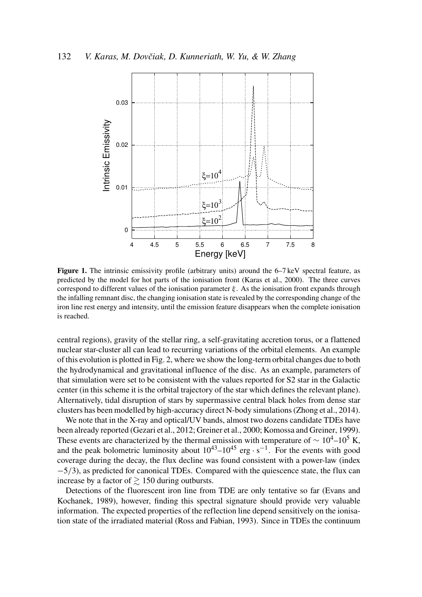

Figure 1. The intrinsic emissivity profile (arbitrary units) around the 6–7 keV spectral feature, as predicted by the model for hot parts of the ionisation front (Karas et al., 2000). The three curves correspond to different values of the ionisation parameter  $\xi$ . As the ionisation front expands through the infalling remnant disc, the changing ionisation state is revealed by the corresponding change of the iron line rest energy and intensity, until the emission feature disappears when the complete ionisation is reached.

central regions), gravity of the stellar ring, a self-gravitating accretion torus, or a flattened nuclear star-cluster all can lead to recurring variations of the orbital elements. An example of this evolution is plotted in Fig. 2, where we show the long-term orbital changes due to both the hydrodynamical and gravitational influence of the disc. As an example, parameters of that simulation were set to be consistent with the values reported for S2 star in the Galactic center (in this scheme it is the orbital trajectory of the star which defines the relevant plane). Alternatively, tidal disruption of stars by supermassive central black holes from dense star clusters has been modelled by high-accuracy direct N-body simulations (Zhong et al., 2014).

We note that in the X-ray and optical/UV bands, almost two dozens candidate TDEs have been already reported (Gezari et al., 2012; Greiner et al., 2000; Komossa and Greiner, 1999). These events are characterized by the thermal emission with temperature of  $\sim 10^4$ – $10^5$  K, and the peak bolometric luminosity about  $10^{43}$ – $10^{45}$  erg · s<sup>-1</sup>. For the events with good coverage during the decay, the flux decline was found consistent with a power-law (index −5/3), as predicted for canonical TDEs. Compared with the quiescence state, the flux can increase by a factor of  $\geq 150$  during outbursts.

Detections of the fluorescent iron line from TDE are only tentative so far (Evans and Kochanek, 1989), however, finding this spectral signature should provide very valuable information. The expected properties of the reflection line depend sensitively on the ionisation state of the irradiated material (Ross and Fabian, 1993). Since in TDEs the continuum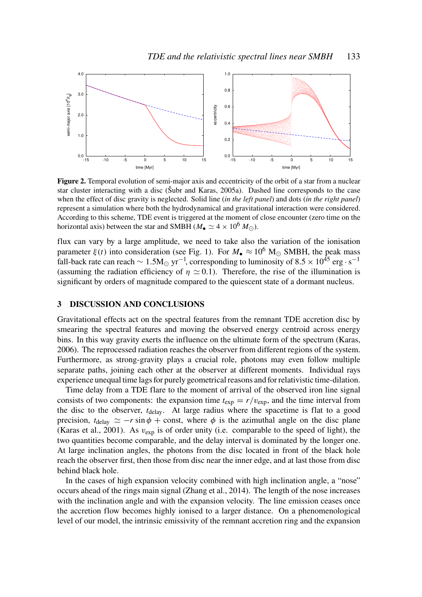

Figure 2. Temporal evolution of semi-major axis and eccentricity of the orbit of a star from a nuclear star cluster interacting with a disc (Šubr and Karas, 2005a). Dashed line corresponds to the case when the effect of disc gravity is neglected. Solid line (*in the left panel*) and dots (*in the right panel*) represent a simulation where both the hydrodynamical and gravitational interaction were considered. According to this scheme, TDE event is triggered at the moment of close encounter (zero time on the horizontal axis) between the star and SMBH ( $M_{\bullet} \simeq 4 \times 10^6$   $M_{\odot}$ ).

flux can vary by a large amplitude, we need to take also the variation of the ionisation parameter  $\xi(t)$  into consideration (see Fig. 1). For  $M_{\bullet} \approx 10^6$  M<sub>o</sub> SMBH, the peak mass fall-back rate can reach  $\sim 1.5{\rm M_{\odot}\,yr^{-1}}$ , corresponding to luminosity of 8.5  $\times$  10<sup>45</sup> erg · s<sup>-1</sup> (assuming the radiation efficiency of  $\eta \simeq 0.1$ ). Therefore, the rise of the illumination is significant by orders of magnitude compared to the quiescent state of a dormant nucleus.

#### 3 DISCUSSION AND CONCLUSIONS

Gravitational effects act on the spectral features from the remnant TDE accretion disc by smearing the spectral features and moving the observed energy centroid across energy bins. In this way gravity exerts the influence on the ultimate form of the spectrum (Karas, 2006). The reprocessed radiation reaches the observer from different regions of the system. Furthermore, as strong-gravity plays a crucial role, photons may even follow multiple separate paths, joining each other at the observer at different moments. Individual rays experience unequal time lags for purely geometrical reasons and for relativistic time-dilation.

Time delay from a TDE flare to the moment of arrival of the observed iron line signal consists of two components: the expansion time  $t_{exp} = r/v_{exp}$ , and the time interval from the disc to the observer,  $t_{\text{delay}}$ . At large radius where the spacetime is flat to a good precision,  $t_{\text{delay}} \approx -r \sin \phi + \text{const}$ , where  $\phi$  is the azimuthal angle on the disc plane (Karas et al., 2001). As  $v_{\text{exp}}$  is of order unity (i.e. comparable to the speed of light), the two quantities become comparable, and the delay interval is dominated by the longer one. At large inclination angles, the photons from the disc located in front of the black hole reach the observer first, then those from disc near the inner edge, and at last those from disc behind black hole.

In the cases of high expansion velocity combined with high inclination angle, a "nose" occurs ahead of the rings main signal (Zhang et al., 2014). The length of the nose increases with the inclination angle and with the expansion velocity. The line emission ceases once the accretion flow becomes highly ionised to a larger distance. On a phenomenological level of our model, the intrinsic emissivity of the remnant accretion ring and the expansion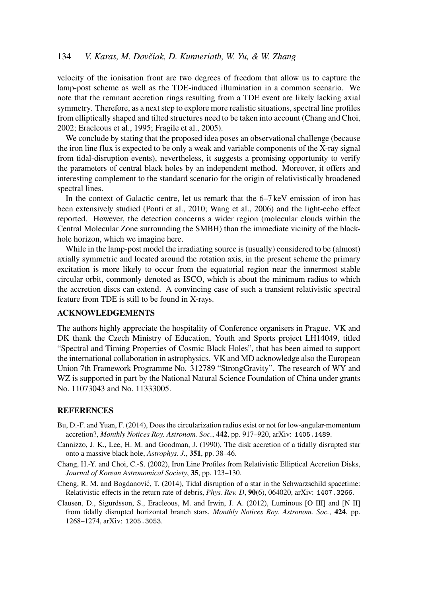# 134 *V. Karas, M. Dovčiak, D. Kunneriath, W. Yu, & W. Zhang*

velocity of the ionisation front are two degrees of freedom that allow us to capture the lamp-post scheme as well as the TDE-induced illumination in a common scenario. We note that the remnant accretion rings resulting from a TDE event are likely lacking axial symmetry. Therefore, as a next step to explore more realistic situations, spectral line profiles from elliptically shaped and tilted structures need to be taken into account (Chang and Choi, 2002; Eracleous et al., 1995; Fragile et al., 2005).

We conclude by stating that the proposed idea poses an observational challenge (because the iron line flux is expected to be only a weak and variable components of the X-ray signal from tidal-disruption events), nevertheless, it suggests a promising opportunity to verify the parameters of central black holes by an independent method. Moreover, it offers and interesting complement to the standard scenario for the origin of relativistically broadened spectral lines.

In the context of Galactic centre, let us remark that the 6–7 keV emission of iron has been extensively studied (Ponti et al., 2010; Wang et al., 2006) and the light-echo effect reported. However, the detection concerns a wider region (molecular clouds within the Central Molecular Zone surrounding the SMBH) than the immediate vicinity of the blackhole horizon, which we imagine here.

While in the lamp-post model the irradiating source is (usually) considered to be (almost) axially symmetric and located around the rotation axis, in the present scheme the primary excitation is more likely to occur from the equatorial region near the innermost stable circular orbit, commonly denoted as ISCO, which is about the minimum radius to which the accretion discs can extend. A convincing case of such a transient relativistic spectral feature from TDE is still to be found in X-rays.

# ACKNOWLEDGEMENTS

The authors highly appreciate the hospitality of Conference organisers in Prague. VK and DK thank the Czech Ministry of Education, Youth and Sports project LH14049, titled "Spectral and Timing Properties of Cosmic Black Holes", that has been aimed to support the international collaboration in astrophysics. VK and MD acknowledge also the European Union 7th Framework Programme No. 312789 "StrongGravity". The research of WY and WZ is supported in part by the National Natural Science Foundation of China under grants No. 11073043 and No. 11333005.

#### **REFERENCES**

- Bu, D.-F. and Yuan, F. (2014), Does the circularization radius exist or not for low-angular-momentum accretion?, *Monthly Notices Roy. Astronom. Soc.*, 442, pp. 917–920, arXiv: 1405.1489.
- Cannizzo, J. K., Lee, H. M. and Goodman, J. (1990), The disk accretion of a tidally disrupted star onto a massive black hole, *Astrophys. J.*, 351, pp. 38–46.
- Chang, H.-Y. and Choi, C.-S. (2002), Iron Line Profiles from Relativistic Elliptical Accretion Disks, *Journal of Korean Astronomical Society*, 35, pp. 123–130.
- Cheng, R. M. and Bogdanovic, T. (2014), Tidal disruption of a star in the Schwarzschild spacetime: ´ Relativistic effects in the return rate of debris, *Phys. Rev. D*, **90**(6), 064020, arXiv: 1407.3266.
- Clausen, D., Sigurdsson, S., Eracleous, M. and Irwin, J. A. (2012), Luminous [O III] and [N II] from tidally disrupted horizontal branch stars, *Monthly Notices Roy. Astronom. Soc.*, 424, pp. 1268–1274, arXiv: 1205.3053.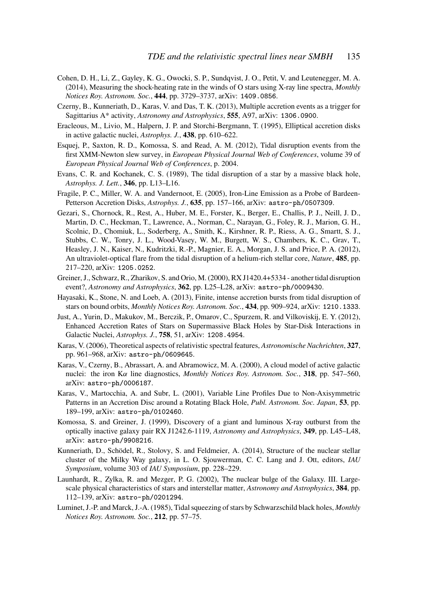- Cohen, D. H., Li, Z., Gayley, K. G., Owocki, S. P., Sundqvist, J. O., Petit, V. and Leutenegger, M. A. (2014), Measuring the shock-heating rate in the winds of O stars using X-ray line spectra, *Monthly Notices Roy. Astronom. Soc.*, 444, pp. 3729–3737, arXiv: 1409.0856.
- Czerny, B., Kunneriath, D., Karas, V. and Das, T. K. (2013), Multiple accretion events as a trigger for Sagittarius A\* activity, *Astronomy and Astrophysics*, 555, A97, arXiv: 1306.0900.
- Eracleous, M., Livio, M., Halpern, J. P. and Storchi-Bergmann, T. (1995), Elliptical accretion disks in active galactic nuclei, *Astrophys. J.*, 438, pp. 610–622.
- Esquej, P., Saxton, R. D., Komossa, S. and Read, A. M. (2012), Tidal disruption events from the first XMM-Newton slew survey, in *European Physical Journal Web of Conferences*, volume 39 of *European Physical Journal Web of Conferences*, p. 2004.
- Evans, C. R. and Kochanek, C. S. (1989), The tidal disruption of a star by a massive black hole, *Astrophys. J. Lett.*, 346, pp. L13–L16.
- Fragile, P. C., Miller, W. A. and Vandernoot, E. (2005), Iron-Line Emission as a Probe of Bardeen-Petterson Accretion Disks, *Astrophys. J.*, 635, pp. 157–166, arXiv: astro-ph/0507309.
- Gezari, S., Chornock, R., Rest, A., Huber, M. E., Forster, K., Berger, E., Challis, P. J., Neill, J. D., Martin, D. C., Heckman, T., Lawrence, A., Norman, C., Narayan, G., Foley, R. J., Marion, G. H., Scolnic, D., Chomiuk, L., Soderberg, A., Smith, K., Kirshner, R. P., Riess, A. G., Smartt, S. J., Stubbs, C. W., Tonry, J. L., Wood-Vasey, W. M., Burgett, W. S., Chambers, K. C., Grav, T., Heasley, J. N., Kaiser, N., Kudritzki, R.-P., Magnier, E. A., Morgan, J. S. and Price, P. A. (2012), An ultraviolet-optical flare from the tidal disruption of a helium-rich stellar core, *Nature*, 485, pp. 217–220, arXiv: 1205.0252.
- Greiner, J., Schwarz, R., Zharikov, S. and Orio, M. (2000), RX J1420.4+5334 another tidal disruption event?, *Astronomy and Astrophysics*, 362, pp. L25–L28, arXiv: astro-ph/0009430.
- Hayasaki, K., Stone, N. and Loeb, A. (2013), Finite, intense accretion bursts from tidal disruption of stars on bound orbits, *Monthly Notices Roy. Astronom. Soc.*, 434, pp. 909–924, arXiv: 1210.1333.
- Just, A., Yurin, D., Makukov, M., Berczik, P., Omarov, C., Spurzem, R. and Vilkoviskij, E. Y. (2012), Enhanced Accretion Rates of Stars on Supermassive Black Holes by Star-Disk Interactions in Galactic Nuclei, *Astrophys. J.*, 758, 51, arXiv: 1208.4954.
- Karas, V. (2006), Theoretical aspects of relativistic spectral features, *Astronomische Nachrichten*, 327, pp. 961–968, arXiv: astro-ph/0609645.
- Karas, V., Czerny, B., Abrassart, A. and Abramowicz, M. A. (2000), A cloud model of active galactic nuclei: the iron  $K\alpha$  line diagnostics, *Monthly Notices Roy. Astronom. Soc.*, 318, pp. 547–560, arXiv: astro-ph/0006187.
- Karas, V., Martocchia, A. and Subr, L. (2001), Variable Line Profiles Due to Non-Axisymmetric Patterns in an Accretion Disc around a Rotating Black Hole, *Publ. Astronom. Soc. Japan*, 53, pp. 189–199, arXiv: astro-ph/0102460.
- Komossa, S. and Greiner, J. (1999), Discovery of a giant and luminous X-ray outburst from the optically inactive galaxy pair RX J1242.6-1119, *Astronomy and Astrophysics*, 349, pp. L45–L48, arXiv: astro-ph/9908216.
- Kunneriath, D., Schödel, R., Stolovy, S. and Feldmeier, A. (2014), Structure of the nuclear stellar cluster of the Milky Way galaxy, in L. O. Sjouwerman, C. C. Lang and J. Ott, editors, *IAU Symposium*, volume 303 of *IAU Symposium*, pp. 228–229.
- Launhardt, R., Zylka, R. and Mezger, P. G. (2002), The nuclear bulge of the Galaxy. III. Largescale physical characteristics of stars and interstellar matter, *Astronomy and Astrophysics*, 384, pp. 112–139, arXiv: astro-ph/0201294.
- Luminet, J.-P. and Marck, J.-A. (1985), Tidal squeezing of stars by Schwarzschild black holes, *Monthly Notices Roy. Astronom. Soc.*, 212, pp. 57–75.